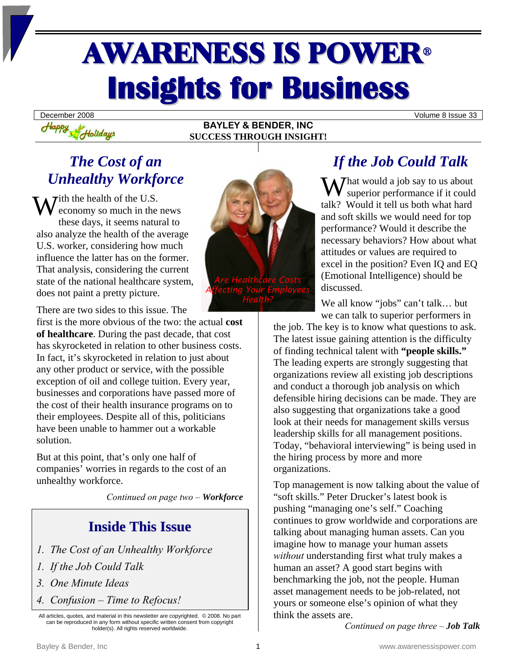# AWARENESS IS POWER<sup>ü</sup> **Insights for Business**

**BAYLEY & BENDER, INC SUCCESS THROUGH INSIGHT!** 

December 2008 Volume 8 Issue 33

# *The Cost of an Unhealthy Workforce*

Happy Holidays

With the health of the U.S.<br>
conomy so much in the economy so much in the news these days, it seems natural to also analyze the health of the average U.S. worker, considering how much influence the latter has on the former. That analysis, considering the current state of the national healthcare system, does not paint a pretty picture.



There are two sides to this issue. The

first is the more obvious of the two: the actual **cost of healthcare**. During the past decade, that cost has skyrocketed in relation to other business costs. In fact, it's skyrocketed in relation to just about any other product or service, with the possible exception of oil and college tuition. Every year, businesses and corporations have passed more of the cost of their health insurance programs on to their employees. Despite all of this, politicians have been unable to hammer out a workable solution.

But at this point, that's only one half of companies' worries in regards to the cost of an unhealthy workforce.

*Continued on page two – Workforce*

### **Inside This Issue**

- *1. The Cost of an Unhealthy Workforce*
- *1. If the Job Could Talk*
- *3. One Minute Ideas*
- *4. Confusion Time to Refocus!*

## *If the Job Could Talk*

What would a job say to us about<br>superior performance if it could superior performance if it could talk? Would it tell us both what hard and soft skills we would need for top performance? Would it describe the necessary behaviors? How about what attitudes or values are required to excel in the position? Even IQ and EQ (Emotional Intelligence) should be discussed.

We all know "jobs" can't talk... but we can talk to superior performers in

the job. The key is to know what questions to ask. The latest issue gaining attention is the difficulty of finding technical talent with **"people skills."** The leading experts are strongly suggesting that organizations review all existing job descriptions and conduct a thorough job analysis on which defensible hiring decisions can be made. They are also suggesting that organizations take a good look at their needs for management skills versus leadership skills for all management positions. Today, "behavioral interviewing" is being used in the hiring process by more and more organizations.

Top management is now talking about the value of "soft skills." Peter Drucker's latest book is pushing "managing one's self." Coaching continues to grow worldwide and corporations are talking about managing human assets. Can you imagine how to manage your human assets *without* understanding first what truly makes a human an asset? A good start begins with benchmarking the job, not the people. Human asset management needs to be job-related, not yours or someone else's opinion of what they think the assets are.

*Continued on page three – Job Talk*

All articles, quotes, and material in this newsletter are copyrighted. © 2008. No part can be reproduced in any form without specific written consent from copyright holder(s). All rights reserved worldwide.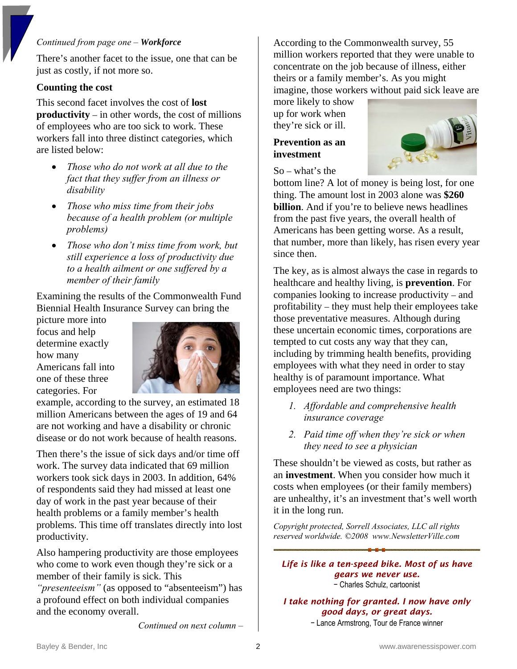#### *Continued from page one – Workforce*

There's another facet to the issue, one that can be just as costly, if not more so.

### **Counting the cost**

This second facet involves the cost of **lost productivity** – in other words, the cost of millions of employees who are too sick to work. These workers fall into three distinct categories, which are listed below:

- *Those who do not work at all due to the fact that they suffer from an illness or disability*
- *Those who miss time from their jobs because of a health problem (or multiple problems)*
- *Those who don't miss time from work, but still experience a loss of productivity due to a health ailment or one suffered by a member of their family*

Examining the results of the Commonwealth Fund Biennial Health Insurance Survey can bring the

picture more into focus and help determine exactly how many Americans fall into one of these three categories. For



example, according to the survey, an estimated 18 million Americans between the ages of 19 and 64 are not working and have a disability or chronic disease or do not work because of health reasons.

Then there's the issue of sick days and/or time off work. The survey data indicated that 69 million workers took sick days in 2003. In addition, 64% of respondents said they had missed at least one day of work in the past year because of their health problems or a family member's health problems. This time off translates directly into lost productivity.

Also hampering productivity are those employees who come to work even though they're sick or a member of their family is sick. This

*"presenteeism"* (as opposed to "absenteeism") has a profound effect on both individual companies and the economy overall.

*Continued on next column –* 

According to the Commonwealth survey, 55 million workers reported that they were unable to concentrate on the job because of illness, either theirs or a family member's. As you might imagine, those workers without paid sick leave are

more likely to show up for work when they're sick or ill.

### **Prevention as an investment**



So – what's the

bottom line? A lot of money is being lost, for one thing. The amount lost in 2003 alone was **\$260 billion**. And if you're to believe news headlines from the past five years, the overall health of Americans has been getting worse. As a result, that number, more than likely, has risen every year since then.

The key, as is almost always the case in regards to healthcare and healthy living, is **prevention**. For companies looking to increase productivity – and profitability – they must help their employees take those preventative measures. Although during these uncertain economic times, corporations are tempted to cut costs any way that they can, including by trimming health benefits, providing employees with what they need in order to stay healthy is of paramount importance. What employees need are two things:

- *1. Affordable and comprehensive health insurance coverage*
- *2. Paid time off when they're sick or when they need to see a physician*

These shouldn't be viewed as costs, but rather as an **investment**. When you consider how much it costs when employees (or their family members) are unhealthy, it's an investment that's well worth it in the long run.

*Copyright protected, Sorrell Associates, LLC all rights reserved worldwide. ©2008 www.NewsletterVille.com* 

*Life is like a ten-speed bike. Most of us have gears we never use.*  − Charles Schulz, cartoonist

*I take nothing for granted. I now have only good days, or great days.* 

− Lance Armstrong, Tour de France winner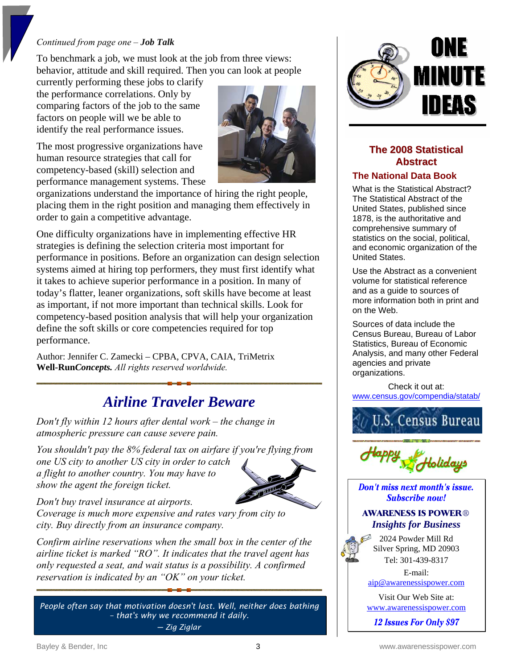### *Continued from page one – Job Talk*

To benchmark a job, we must look at the job from three views: behavior, attitude and skill required. Then you can look at people

currently performing these jobs to clarify the performance correlations. Only by comparing factors of the job to the same factors on people will we be able to identify the real performance issues.

The most progressive organizations have human resource strategies that call for competency-based (skill) selection and performance management systems. These



organizations understand the importance of hiring the right people, placing them in the right position and managing them effectively in order to gain a competitive advantage.

One difficulty organizations have in implementing effective HR strategies is defining the selection criteria most important for performance in positions. Before an organization can design selection systems aimed at hiring top performers, they must first identify what it takes to achieve superior performance in a position. In many of today's flatter, leaner organizations, soft skills have become at least as important, if not more important than technical skills. Look for competency-based position analysis that will help your organization define the soft skills or core competencies required for top performance.

Author: Jennifer C. Zamecki – CPBA, CPVA, CAIA, TriMetrix **Well-Run***Concepts. All rights reserved worldwide.* 

### *Airline Traveler Beware*

*Don't fly within 12 hours after dental work – the change in atmospheric pressure can cause severe pain.* 

*You shouldn't pay the 8% federal tax on airfare if you're flying from one US city to another US city in order to catch a flight to another country. You may have to show the agent the foreign ticket.* 



*Don't buy travel insurance at airports.* 

*Coverage is much more expensive and rates vary from city to city. Buy directly from an insurance company.* 

*Confirm airline reservations when the small box in the center of the airline ticket is marked "RO". It indicates that the travel agent has only requested a seat, and wait status is a possibility. A confirmed reservation is indicated by an "OK" on your ticket.* 

*People often say that motivation doesn't last. Well, neither does bathing – that's why we recommend it daily. ─ Zig Ziglar* 



### **The 2008 Statistical Abstract**

### **The National Data Book**

What is the Statistical Abstract? The Statistical Abstract of the United States, published since 1878, is the authoritative and comprehensive summary of statistics on the social, political, and economic organization of the United States.

Use the Abstract as a convenient volume for statistical reference and as a guide to sources of more information both in print and on the Web.

Sources of data include the Census Bureau, Bureau of Labor Statistics, Bureau of Economic Analysis, and many other Federal agencies and private organizations.

Check it out at: [www.census.gov/compendia/statab/](http://www.census.gov/compendia/statab/)





Don't miss next month's issue. **Subscribe now!** 

### **AWARENESS IS POWER**® *Insights for Business*

2024 Powder Mill Rd Silver Spring, MD 20903 Tel: 301-439-8317

E-mail:

[aip@awarenessispower.com](mailto:aip@awarenessispower.com)

Visit Our Web Site at: [www.awarenessispower.com](http://www.awarenessispower.com/)

12 Issues For Only \$97